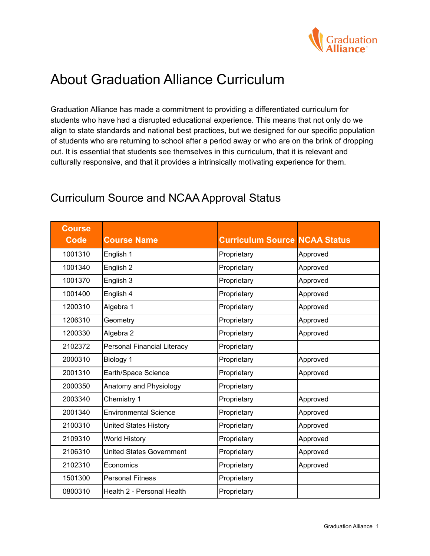

# About Graduation Alliance Curriculum

Graduation Alliance has made a commitment to providing a differentiated curriculum for students who have had a disrupted educational experience. This means that not only do we align to state standards and national best practices, but we designed for our specific population of students who are returning to school after a period away or who are on the brink of dropping out. It is essential that students see themselves in this curriculum, that it is relevant and culturally responsive, and that it provides a intrinsically motivating experience for them.

| <b>Course</b><br><b>Code</b> | <b>Course Name</b>              | <b>Curriculum Source NCAA Status</b> |          |
|------------------------------|---------------------------------|--------------------------------------|----------|
| 1001310                      | English 1                       | Proprietary                          | Approved |
| 1001340                      | English 2                       | Proprietary                          | Approved |
| 1001370                      | English 3                       | Proprietary                          | Approved |
| 1001400                      | English 4                       | Proprietary                          | Approved |
| 1200310                      | Algebra 1                       | Proprietary                          | Approved |
| 1206310                      | Geometry                        | Proprietary                          | Approved |
| 1200330                      | Algebra 2                       | Proprietary                          | Approved |
| 2102372                      | Personal Financial Literacy     | Proprietary                          |          |
| 2000310                      | Biology 1                       | Proprietary                          | Approved |
| 2001310                      | Earth/Space Science             | Proprietary                          | Approved |
| 2000350                      | Anatomy and Physiology          | Proprietary                          |          |
| 2003340                      | Chemistry 1                     | Proprietary                          | Approved |
| 2001340                      | <b>Environmental Science</b>    | Proprietary                          | Approved |
| 2100310                      | <b>United States History</b>    | Proprietary                          | Approved |
| 2109310                      | <b>World History</b>            | Proprietary                          | Approved |
| 2106310                      | <b>United States Government</b> | Proprietary                          | Approved |
| 2102310                      | Economics                       | Proprietary                          | Approved |
| 1501300                      | <b>Personal Fitness</b>         | Proprietary                          |          |
| 0800310                      | Health 2 - Personal Health      | Proprietary                          |          |

## Curriculum Source and NCAA Approval Status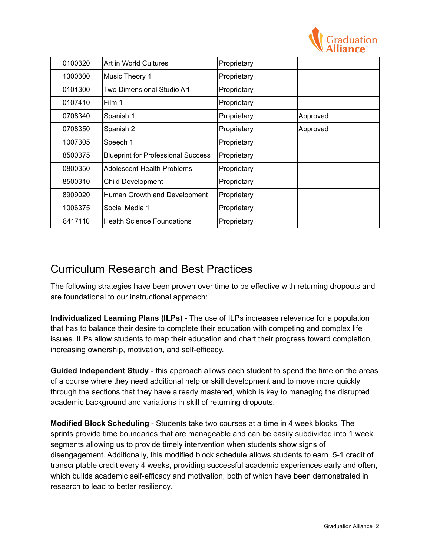

| 0100320 | Art in World Cultures                     | Proprietary |          |
|---------|-------------------------------------------|-------------|----------|
| 1300300 | Music Theory 1                            | Proprietary |          |
| 0101300 | Two Dimensional Studio Art                | Proprietary |          |
| 0107410 | Film 1                                    | Proprietary |          |
| 0708340 | Spanish 1                                 | Proprietary | Approved |
| 0708350 | Spanish 2                                 | Proprietary | Approved |
| 1007305 | Speech 1                                  | Proprietary |          |
| 8500375 | <b>Blueprint for Professional Success</b> | Proprietary |          |
| 0800350 | <b>Adolescent Health Problems</b>         | Proprietary |          |
| 8500310 | Child Development                         | Proprietary |          |
| 8909020 | Human Growth and Development              | Proprietary |          |
| 1006375 | Social Media 1                            | Proprietary |          |
| 8417110 | <b>Health Science Foundations</b>         | Proprietary |          |

## Curriculum Research and Best Practices

The following strategies have been proven over time to be effective with returning dropouts and are foundational to our instructional approach:

**Individualized Learning Plans (ILPs)** - The use of ILPs increases relevance for a population that has to balance their desire to complete their education with competing and complex life issues. ILPs allow students to map their education and chart their progress toward completion, increasing ownership, motivation, and self-efficacy.

**Guided Independent Study** - this approach allows each student to spend the time on the areas of a course where they need additional help or skill development and to move more quickly through the sections that they have already mastered, which is key to managing the disrupted academic background and variations in skill of returning dropouts.

**Modified Block Scheduling** - Students take two courses at a time in 4 week blocks. The sprints provide time boundaries that are manageable and can be easily subdivided into 1 week segments allowing us to provide timely intervention when students show signs of disengagement. Additionally, this modified block schedule allows students to earn .5-1 credit of transcriptable credit every 4 weeks, providing successful academic experiences early and often, which builds academic self-efficacy and motivation, both of which have been demonstrated in research to lead to better resiliency.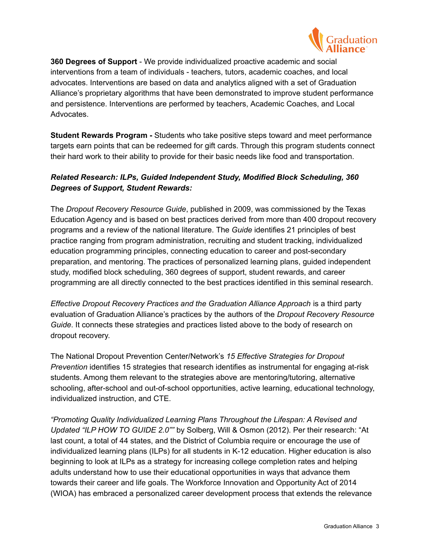

**360 Degrees of Support** - We provide individualized proactive academic and social interventions from a team of individuals - teachers, tutors, academic coaches, and local advocates. Interventions are based on data and analytics aligned with a set of Graduation Alliance's proprietary algorithms that have been demonstrated to improve student performance and persistence. Interventions are performed by teachers, Academic Coaches, and Local Advocates.

**Student Rewards Program -** Students who take positive steps toward and meet performance targets earn points that can be redeemed for gift cards. Through this program students connect their hard work to their ability to provide for their basic needs like food and transportation.

### *Related Research: ILPs, Guided Independent Study, Modified Block Scheduling, 360 Degrees of Support, Student Rewards:*

The *Dropout Recovery Resource Guide*, published in 2009, was commissioned by the Texas Education Agency and is based on best practices derived from more than 400 dropout recovery programs and a review of the national literature. The *Guide* identifies 21 principles of best practice ranging from program administration, recruiting and student tracking, individualized education programming principles, connecting education to career and post-secondary preparation, and mentoring. The practices of personalized learning plans, guided independent study, modified block scheduling, 360 degrees of support, student rewards, and career programming are all directly connected to the best practices identified in this seminal research.

*Effective Dropout Recovery Practices and the Graduation Alliance Approach* is a third party evaluation of Graduation Alliance's practices by the authors of the *Dropout Recovery Resource Guide*. It connects these strategies and practices listed above to the body of research on dropout recovery.

The National Dropout Prevention Center/Network's *15 Effective Strategies for Dropout Prevention* identifies 15 strategies that research identifies as instrumental for engaging at-risk students. Among them relevant to the strategies above are mentoring/tutoring, alternative schooling, after-school and out-of-school opportunities, active learning, educational technology, individualized instruction, and CTE.

*"Promoting Quality Individualized Learning Plans Throughout the Lifespan: A Revised and Updated "ILP HOW TO GUIDE 2.0""* by Solberg, Will & Osmon (2012). Per their research: "At last count, a total of 44 states, and the District of Columbia require or encourage the use of individualized learning plans (ILPs) for all students in K-12 education. Higher education is also beginning to look at ILPs as a strategy for increasing college completion rates and helping adults understand how to use their educational opportunities in ways that advance them towards their career and life goals. The Workforce Innovation and Opportunity Act of 2014 (WIOA) has embraced a personalized career development process that extends the relevance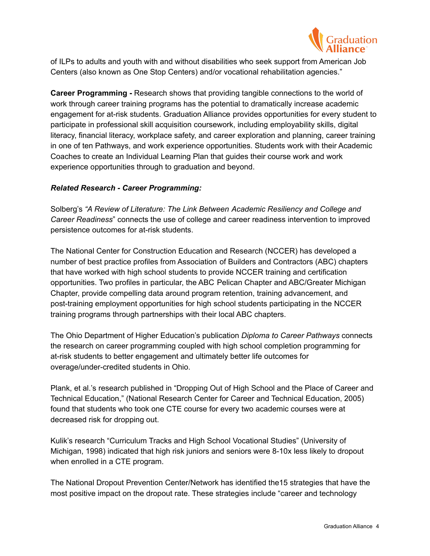

of ILPs to adults and youth with and without disabilities who seek support from American Job Centers (also known as One Stop Centers) and/or vocational rehabilitation agencies."

**Career Programming -** Research shows that providing tangible connections to the world of work through career training programs has the potential to dramatically increase academic engagement for at-risk students. Graduation Alliance provides opportunities for every student to participate in professional skill acquisition coursework, including employability skills, digital literacy, financial literacy, workplace safety, and career exploration and planning, career training in one of ten Pathways, and work experience opportunities. Students work with their Academic Coaches to create an Individual Learning Plan that guides their course work and work experience opportunities through to graduation and beyond.

### *Related Research - Career Programming:*

Solberg's *"A Review of Literature: The Link Between Academic Resiliency and College and Career Readiness*" connects the use of college and career readiness intervention to improved persistence outcomes for at-risk students.

The National Center for Construction Education and Research (NCCER) has developed a number of best practice profiles from Association of Builders and Contractors (ABC) chapters that have worked with high school students to provide NCCER training and certification opportunities. Two profiles in particular, the ABC Pelican Chapter and ABC/Greater Michigan Chapter, provide compelling data around program retention, training advancement, and post-training employment opportunities for high school students participating in the NCCER training programs through partnerships with their local ABC chapters.

The Ohio Department of Higher Education's publication *Diploma to Career Pathways* connects the research on career programming coupled with high school completion programming for at-risk students to better engagement and ultimately better life outcomes for overage/under-credited students in Ohio.

Plank, et al.'s research published in "Dropping Out of High School and the Place of Career and Technical Education," (National Research Center for Career and Technical Education, 2005) found that students who took one CTE course for every two academic courses were at decreased risk for dropping out.

Kulik's research "Curriculum Tracks and High School Vocational Studies" (University of Michigan, 1998) indicated that high risk juniors and seniors were 8-10x less likely to dropout when enrolled in a CTE program.

The National Dropout Prevention Center/Network has identified the15 strategies that have the most positive impact on the dropout rate. These strategies include "career and technology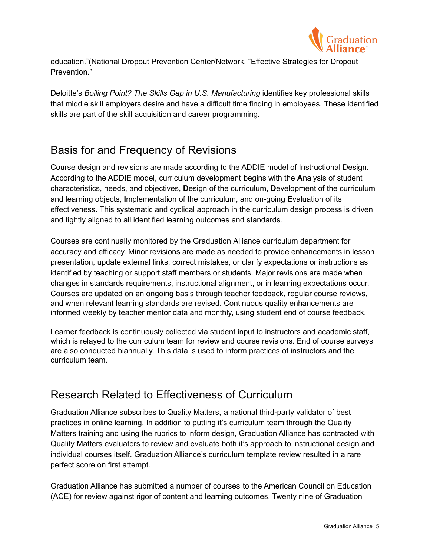

education."(National Dropout Prevention Center/Network, "Effective Strategies for Dropout Prevention."

Deloitte's *Boiling Point? The Skills Gap in U.S. Manufacturing* identifies key professional skills that middle skill employers desire and have a difficult time finding in employees. These identified skills are part of the skill acquisition and career programming.

# Basis for and Frequency of Revisions

Course design and revisions are made according to the ADDIE model of Instructional Design. According to the ADDIE model, curriculum development begins with the **A**nalysis of student characteristics, needs, and objectives, **D**esign of the curriculum, **D**evelopment of the curriculum and learning objects, **I**mplementation of the curriculum, and on-going **E**valuation of its effectiveness. This systematic and cyclical approach in the curriculum design process is driven and tightly aligned to all identified learning outcomes and standards.

Courses are continually monitored by the Graduation Alliance curriculum department for accuracy and efficacy. Minor revisions are made as needed to provide enhancements in lesson presentation, update external links, correct mistakes, or clarify expectations or instructions as identified by teaching or support staff members or students. Major revisions are made when changes in standards requirements, instructional alignment, or in learning expectations occur. Courses are updated on an ongoing basis through teacher feedback, regular course reviews, and when relevant learning standards are revised. Continuous quality enhancements are informed weekly by teacher mentor data and monthly, using student end of course feedback.

Learner feedback is continuously collected via student input to instructors and academic staff, which is relayed to the curriculum team for review and course revisions. End of course surveys are also conducted biannually. This data is used to inform practices of instructors and the curriculum team.

## Research Related to Effectiveness of Curriculum

Graduation Alliance subscribes to Quality Matters, a national third-party validator of best practices in online learning. In addition to putting it's curriculum team through the Quality Matters training and using the rubrics to inform design, Graduation Alliance has contracted with Quality Matters evaluators to review and evaluate both it's approach to instructional design and individual courses itself. Graduation Alliance's curriculum template review resulted in a rare perfect score on first attempt.

Graduation Alliance has submitted a number of courses to the American Council on Education (ACE) for review against rigor of content and learning outcomes. Twenty nine of Graduation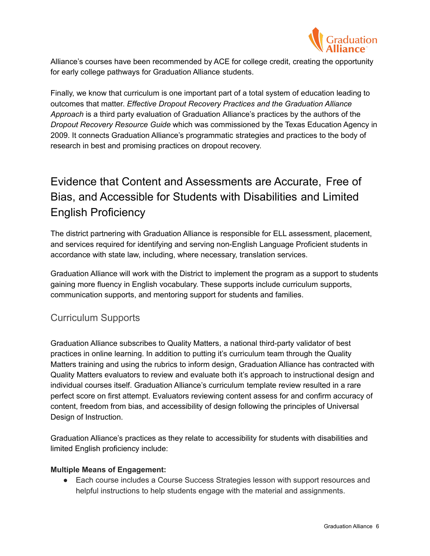

Alliance's courses have been recommended by ACE for college credit, creating the opportunity for early college pathways for Graduation Alliance students.

Finally, we know that curriculum is one important part of a total system of education leading to outcomes that matter. *Effective Dropout Recovery Practices and the Graduation Alliance Approach* is a third party evaluation of Graduation Alliance's practices by the authors of the *Dropout Recovery Resource Guide* which was commissioned by the Texas Education Agency in 2009. It connects Graduation Alliance's programmatic strategies and practices to the body of research in best and promising practices on dropout recovery.

# Evidence that Content and Assessments are Accurate, Free of Bias, and Accessible for Students with Disabilities and Limited English Proficiency

The district partnering with Graduation Alliance is responsible for ELL assessment, placement, and services required for identifying and serving non-English Language Proficient students in accordance with state law, including, where necessary, translation services.

Graduation Alliance will work with the District to implement the program as a support to students gaining more fluency in English vocabulary. These supports include curriculum supports, communication supports, and mentoring support for students and families.

## Curriculum Supports

Graduation Alliance subscribes to Quality Matters, a national third-party validator of best practices in online learning. In addition to putting it's curriculum team through the Quality Matters training and using the rubrics to inform design, Graduation Alliance has contracted with Quality Matters evaluators to review and evaluate both it's approach to instructional design and individual courses itself. Graduation Alliance's curriculum template review resulted in a rare perfect score on first attempt. Evaluators reviewing content assess for and confirm accuracy of content, freedom from bias, and accessibility of design following the principles of Universal Design of Instruction.

Graduation Alliance's practices as they relate to accessibility for students with disabilities and limited English proficiency include:

### **Multiple Means of Engagement:**

● Each course includes a Course Success Strategies lesson with support resources and helpful instructions to help students engage with the material and assignments.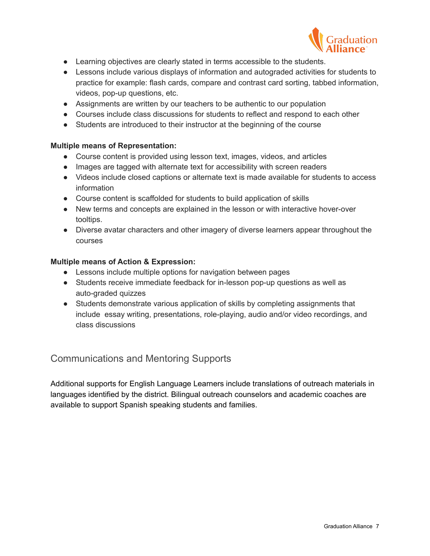

- Learning objectives are clearly stated in terms accessible to the students.
- Lessons include various displays of information and autograded activities for students to practice for example: flash cards, compare and contrast card sorting, tabbed information, videos, pop-up questions, etc.
- Assignments are written by our teachers to be authentic to our population
- Courses include class discussions for students to reflect and respond to each other
- Students are introduced to their instructor at the beginning of the course

#### **Multiple means of Representation:**

- Course content is provided using lesson text, images, videos, and articles
- Images are tagged with alternate text for accessibility with screen readers
- Videos include closed captions or alternate text is made available for students to access information
- Course content is scaffolded for students to build application of skills
- New terms and concepts are explained in the lesson or with interactive hover-over tooltips.
- Diverse avatar characters and other imagery of diverse learners appear throughout the courses

#### **Multiple means of Action & Expression:**

- Lessons include multiple options for navigation between pages
- Students receive immediate feedback for in-lesson pop-up questions as well as auto-graded quizzes
- Students demonstrate various application of skills by completing assignments that include essay writing, presentations, role-playing, audio and/or video recordings, and class discussions

### Communications and Mentoring Supports

Additional supports for English Language Learners include translations of outreach materials in languages identified by the district. Bilingual outreach counselors and academic coaches are available to support Spanish speaking students and families.